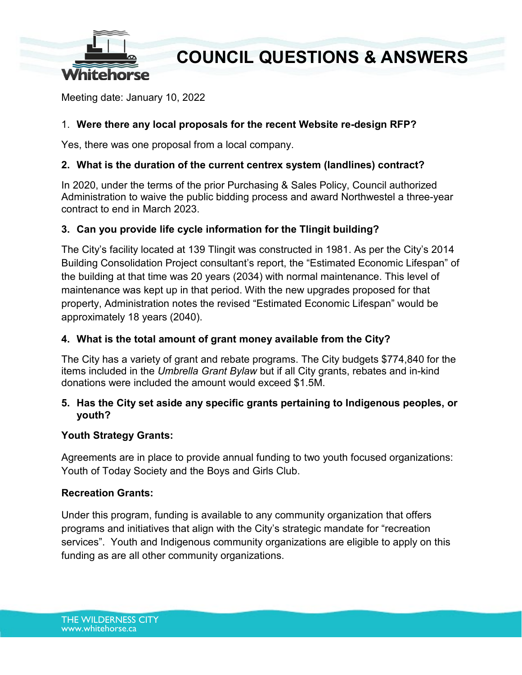

## **COUNCIL QUESTIONS & ANSWERS**

Meeting date: January 10, 2022

## 1. **Were there any local proposals for the recent Website re-design RFP?**

Yes, there was one proposal from a local company.

## **2. What is the duration of the current centrex system (landlines) contract?**

In 2020, under the terms of the prior Purchasing & Sales Policy, Council authorized Administration to waive the public bidding process and award Northwestel a three-year contract to end in March 2023.

## **3. Can you provide life cycle information for the Tlingit building?**

The City's facility located at 139 Tlingit was constructed in 1981. As per the City's 2014 Building Consolidation Project consultant's report, the "Estimated Economic Lifespan" of the building at that time was 20 years (2034) with normal maintenance. This level of maintenance was kept up in that period. With the new upgrades proposed for that property, Administration notes the revised "Estimated Economic Lifespan" would be approximately 18 years (2040).

#### **4. What is the total amount of grant money available from the City?**

The City has a variety of grant and rebate programs. The City budgets \$774,840 for the items included in the *Umbrella Grant Bylaw* but if all City grants, rebates and in-kind donations were included the amount would exceed \$1.5M.

## **5. Has the City set aside any specific grants pertaining to Indigenous peoples, or youth?**

#### **Youth Strategy Grants:**

Agreements are in place to provide annual funding to two youth focused organizations: Youth of Today Society and the Boys and Girls Club.

#### **Recreation Grants:**

Under this program, funding is available to any community organization that offers programs and initiatives that align with the City's strategic mandate for "recreation services". Youth and Indigenous community organizations are eligible to apply on this funding as are all other community organizations.